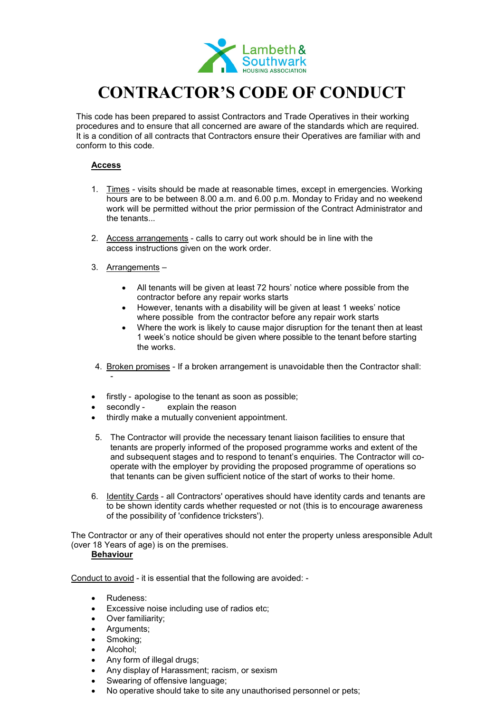

# **CONTRACTOR'S CODE OF CONDUCT**

This code has been prepared to assist Contractors and Trade Operatives in their working procedures and to ensure that all concerned are aware of the standards which are required. It is a condition of all contracts that Contractors ensure their Operatives are familiar with and conform to this code.

### **Access**

- 1. Times visits should be made at reasonable times, except in emergencies. Working hours are to be between 8.00 a.m. and 6.00 p.m. Monday to Friday and no weekend work will be permitted without the prior permission of the Contract Administrator and the tenants...
- 2. Access arrangements calls to carry out work should be in line with the access instructions given on the work order.
- 3. Arrangements
	- All tenants will be given at least 72 hours' notice where possible from the contractor before any repair works starts
	- However, tenants with a disability will be given at least 1 weeks' notice where possible from the contractor before any repair work starts
	- Where the work is likely to cause major disruption for the tenant then at least 1 week's notice should be given where possible to the tenant before starting the works.
- 4. Broken promises If a broken arrangement is unavoidable then the Contractor shall: -
- firstly apologise to the tenant as soon as possible;
- secondly explain the reason
- thirdly make a mutually convenient appointment.
- 5. The Contractor will provide the necessary tenant liaison facilities to ensure that tenants are properly informed of the proposed programme works and extent of the and subsequent stages and to respond to tenant's enquiries. The Contractor will cooperate with the employer by providing the proposed programme of operations so that tenants can be given sufficient notice of the start of works to their home.
- 6. Identity Cards all Contractors' operatives should have identity cards and tenants are to be shown identity cards whether requested or not (this is to encourage awareness of the possibility of 'confidence tricksters').

The Contractor or any of their operatives should not enter the property unless aresponsible Adult (over 18 Years of age) is on the premises.

## **Behaviour**

Conduct to avoid - it is essential that the following are avoided: -

- Rudeness:
- Excessive noise including use of radios etc;
- Over familiarity;
- Arguments;
- Smoking;
- Alcohol;
- Any form of illegal drugs;
- Any display of Harassment; racism, or sexism
- Swearing of offensive language;
- No operative should take to site any unauthorised personnel or pets;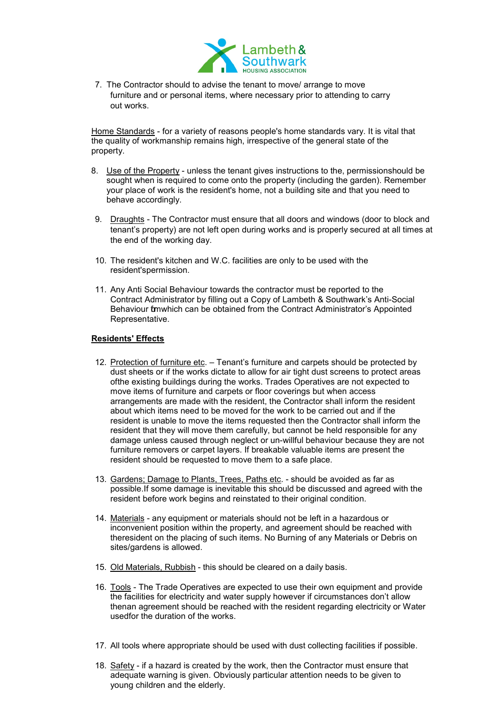

7. The Contractor should to advise the tenant to move/ arrange to move furniture and or personal items, where necessary prior to attending to carry out works.

Home Standards - for a variety of reasons people's home standards vary. It is vital that the quality of workmanship remains high, irrespective of the general state of the property.

- 8. Use of the Property unless the tenant gives instructions to the, permissionshould be sought when is required to come onto the property (including the garden). Remember your place of work is the resident's home, not a building site and that you need to behave accordingly.
- 9. Draughts The Contractor must ensure that all doors and windows (door to block and tenant's property) are not left open during works and is properly secured at all times at the end of the working day.
- 10. The resident's kitchen and W.C. facilities are only to be used with the resident'spermission.
- 11. Any Anti Social Behaviour towards the contractor must be reported to the Contract Administrator by filling out a Copy of Lambeth & Southwark's Anti-Social Behaviour formwhich can be obtained from the Contract Administrator's Appointed Representative.

#### **Residents' Effects**

- 12. Protection of furniture etc. Tenant's furniture and carpets should be protected by dust sheets or if the works dictate to allow for air tight dust screens to protect areas ofthe existing buildings during the works. Trades Operatives are not expected to move items of furniture and carpets or floor coverings but when access arrangements are made with the resident, the Contractor shall inform the resident about which items need to be moved for the work to be carried out and if the resident is unable to move the items requested then the Contractor shall inform the resident that they will move them carefully, but cannot be held responsible for any damage unless caused through neglect or un-willful behaviour because they are not furniture removers or carpet layers. If breakable valuable items are present the resident should be requested to move them to a safe place.
- 13. Gardens; Damage to Plants, Trees, Paths etc. should be avoided as far as possible.If some damage is inevitable this should be discussed and agreed with the resident before work begins and reinstated to their original condition.
- 14. Materials any equipment or materials should not be left in a hazardous or inconvenient position within the property, and agreement should be reached with theresident on the placing of such items. No Burning of any Materials or Debris on sites/gardens is allowed.
- 15. Old Materials, Rubbish this should be cleared on a daily basis.
- 16. Tools The Trade Operatives are expected to use their own equipment and provide the facilities for electricity and water supply however if circumstances don't allow thenan agreement should be reached with the resident regarding electricity or Water usedfor the duration of the works.
- 17. All tools where appropriate should be used with dust collecting facilities if possible.
- 18. Safety if a hazard is created by the work, then the Contractor must ensure that adequate warning is given. Obviously particular attention needs to be given to young children and the elderly.